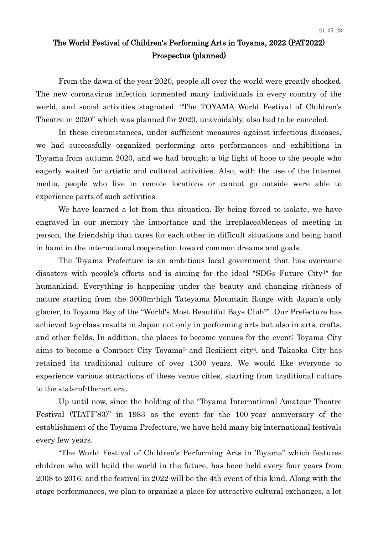## The World Festival of Children's Performing Arts in Toyama, 2022 (PAT2022) Prospectus (planned)

From the dawn of the year 2020, people all over the world were greatly shocked. The new coronavirus infection tormented many individuals in every country of the world, and social activities stagnated. "The TOYAMA World Festival of Children's Theatre in 2020" which was planned for 2020, unavoidably, also had to be canceled.

In these circumstances, under sufficient measures against infectious diseases, we had successfully organized performing arts performances and exhibitions in Toyama from autumn 2020, and we had brought a big light of hope to the people who eagerly waited for artistic and cultural activities. Also, with the use of the Internet media, people who live in remote locations or cannot go outside were able to experience parts of such activities.

We have learned a lot from this situation. By being forced to isolate, we have engraved in our memory the importance and the irreplaceableness of meeting in person, the friendship that cares for each other in difficult situations and being hand in hand in the international cooperation toward common dreams and goals.

The Toyama Prefecture is an ambitious local government that has overcame disasters with people's efforts and is aiming for the ideal "SDGs Future City1" for humankind. Everything is happening under the beauty and changing richness of nature starting from the 3000m-high Tateyama Mountain Range with Japan's only glacier, to Toyama Bay of the "World's Most Beautiful Bays Club2". Our Prefecture has achieved top-class results in Japan not only in performing arts but also in arts, crafts, and other fields. In addition, the places to become venues for the event: Toyama City aims to become a Compact City Toyama<sup>3</sup> and Resilient city4, and Takaoka City has retained its traditional culture of over 1300 years. We would like everyone to experience various attractions of these venue cities, starting from traditional culture to the state-of-the-art era.

Up until now, since the holding of the "Toyama International Amateur Theatre Festival (TIATF'83)" in 1983 as the event for the 100-year anniversary of the establishment of the Toyama Prefecture, we have held many big international festivals every few years.

"The World Festival of Children's Performing Arts in Toyama" which features children who will build the world in the future, has been held every four years from 2008 to 2016, and the festival in 2022 will be the 4th event of this kind. Along with the stage performances, we plan to organize a place for attractive cultural exchanges, a lot